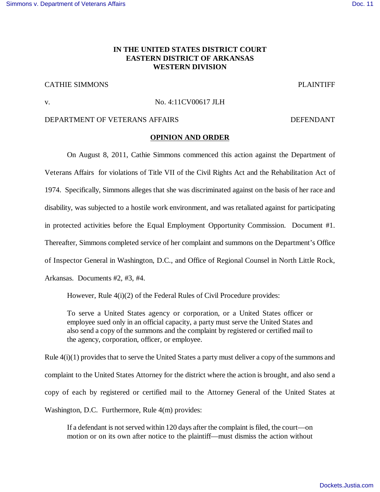## [Simmons v. Department of Veterans Affairs](http://dockets.justia.com/docket/arkansas/aredce/4:2011cv00617/87089/) **[Doc. 11](http://docs.justia.com/cases/federal/district-courts/arkansas/aredce/4:2011cv00617/87089/11/)** No. 2014 12:30 No. 2014 12:30 No. 2014 12:30 No. 2014 12:30 No

# **IN THE UNITED STATES DISTRICT COURT EASTERN DISTRICT OF ARKANSAS WESTERN DIVISION**

# CATHIE SIMMONS PLAINTIFF

### v. No. 4:11CV00617 JLH

## DEPARTMENT OF VETERANS AFFAIRS DEFENDANT

### **OPINION AND ORDER**

On August 8, 2011, Cathie Simmons commenced this action against the Department of Veterans Affairs for violations of Title VII of the Civil Rights Act and the Rehabilitation Act of 1974. Specifically, Simmons alleges that she was discriminated against on the basis of her race and disability, was subjected to a hostile work environment, and was retaliated against for participating in protected activities before the Equal Employment Opportunity Commission. Document #1. Thereafter, Simmons completed service of her complaint and summons on the Department's Office of Inspector General in Washington, D.C., and Office of Regional Counsel in North Little Rock, Arkansas. Documents #2, #3, #4.

However, Rule 4(i)(2) of the Federal Rules of Civil Procedure provides:

To serve a United States agency or corporation, or a United States officer or employee sued only in an official capacity, a party must serve the United States and also send a copy of the summons and the complaint by registered or certified mail to the agency, corporation, officer, or employee.

Rule 4(i)(1) provides that to serve the United States a party must deliver a copy of the summons and complaint to the United States Attorney for the district where the action is brought, and also send a copy of each by registered or certified mail to the Attorney General of the United States at Washington, D.C. Furthermore, Rule 4(m) provides:

If a defendant is not served within 120 days after the complaint is filed, the court—on motion or on its own after notice to the plaintiff—must dismiss the action without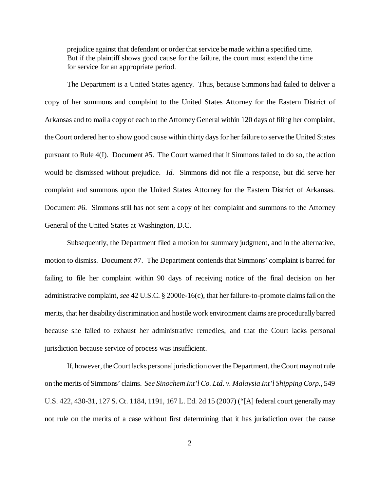prejudice against that defendant or order that service be made within a specified time. But if the plaintiff shows good cause for the failure, the court must extend the time for service for an appropriate period.

The Department is a United States agency. Thus, because Simmons had failed to deliver a copy of her summons and complaint to the United States Attorney for the Eastern District of Arkansas and to mail a copy of each to the Attorney General within 120 days of filing her complaint, the Court ordered her to show good cause within thirty days for her failure to serve the United States pursuant to Rule 4(I). Document #5. The Court warned that if Simmons failed to do so, the action would be dismissed without prejudice. *Id.* Simmons did not file a response, but did serve her complaint and summons upon the United States Attorney for the Eastern District of Arkansas. Document #6. Simmons still has not sent a copy of her complaint and summons to the Attorney General of the United States at Washington, D.C.

Subsequently, the Department filed a motion for summary judgment, and in the alternative, motion to dismiss. Document #7. The Department contends that Simmons' complaint is barred for failing to file her complaint within 90 days of receiving notice of the final decision on her administrative complaint, *see* 42 U.S.C. § 2000e-16(c), that her failure-to-promote claims fail on the merits, that her disability discrimination and hostile work environment claims are procedurally barred because she failed to exhaust her administrative remedies, and that the Court lacks personal jurisdiction because service of process was insufficient.

If, however, the Court lacks personal jurisdiction over the Department, the Court may not rule on the merits of Simmons' claims. *See Sinochem Int'l Co. Ltd. v. Malaysia Int'l Shipping Corp.*, 549 U.S. 422, 430-31, 127 S. Ct. 1184, 1191, 167 L. Ed. 2d 15 (2007) ("[A] federal court generally may not rule on the merits of a case without first determining that it has jurisdiction over the cause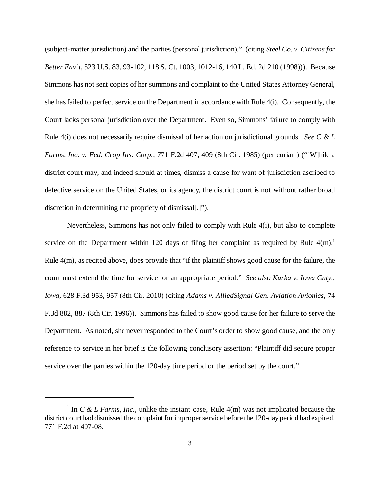(subject-matter jurisdiction) and the parties (personal jurisdiction)." (citing *Steel Co. v. Citizens for Better Env't*, 523 U.S. 83, 93-102, 118 S. Ct. 1003, 1012-16, 140 L. Ed. 2d 210 (1998))). Because Simmons has not sent copies of her summons and complaint to the United States Attorney General, she has failed to perfect service on the Department in accordance with Rule 4(i). Consequently, the Court lacks personal jurisdiction over the Department. Even so, Simmons' failure to comply with Rule 4(i) does not necessarily require dismissal of her action on jurisdictional grounds. *See C & L Farms, Inc. v. Fed. Crop Ins. Corp.*, 771 F.2d 407, 409 (8th Cir. 1985) (per curiam) ("[W]hile a district court may, and indeed should at times, dismiss a cause for want of jurisdiction ascribed to defective service on the United States, or its agency, the district court is not without rather broad discretion in determining the propriety of dismissal[.]").

Nevertheless, Simmons has not only failed to comply with Rule 4(i), but also to complete service on the Department within 120 days of filing her complaint as required by Rule  $4(m)$ .<sup>1</sup> Rule 4(m), as recited above, does provide that "if the plaintiff shows good cause for the failure, the court must extend the time for service for an appropriate period." *See also Kurka v. Iowa Cnty., Iowa*, 628 F.3d 953, 957 (8th Cir. 2010) (citing *Adams v. AlliedSignal Gen. Aviation Avionics*, 74 F.3d 882, 887 (8th Cir. 1996)). Simmons has failed to show good cause for her failure to serve the Department. As noted, she never responded to the Court's order to show good cause, and the only reference to service in her brief is the following conclusory assertion: "Plaintiff did secure proper service over the parties within the 120-day time period or the period set by the court."

<sup>&</sup>lt;sup>1</sup> In *C & L Farms, Inc.*, unlike the instant case, Rule  $4(m)$  was not implicated because the district court had dismissed the complaint for improper service before the 120-day period had expired. 771 F.2d at 407-08.